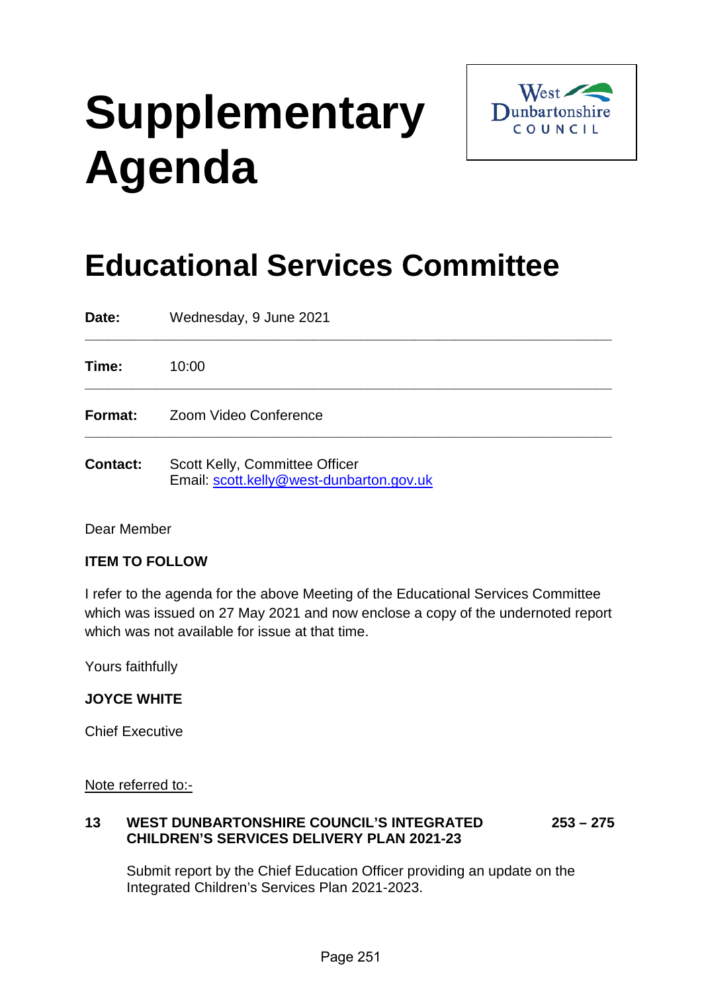# **Supplementary Agenda**



# **Educational Services Committee**

| Date:           | Wednesday, 9 June 2021                                                     |
|-----------------|----------------------------------------------------------------------------|
| Time:           | 10:00                                                                      |
| Format:         | Zoom Video Conference                                                      |
| <b>Contact:</b> | Scott Kelly, Committee Officer<br>Email: scott.kelly@west-dunbarton.gov.uk |

Dear Member

#### **ITEM TO FOLLOW**

I refer to the agenda for the above Meeting of the Educational Services Committee which was issued on 27 May 2021 and now enclose a copy of the undernoted report which was not available for issue at that time.

Yours faithfully

#### **JOYCE WHITE**

Chief Executive

Note referred to:-

#### **13 WEST DUNBARTONSHIRE COUNCIL'S INTEGRATED 253 – 275 CHILDREN'S SERVICES DELIVERY PLAN 2021-23**

Submit report by the Chief Education Officer providing an update on the Integrated Children's Services Plan 2021-2023.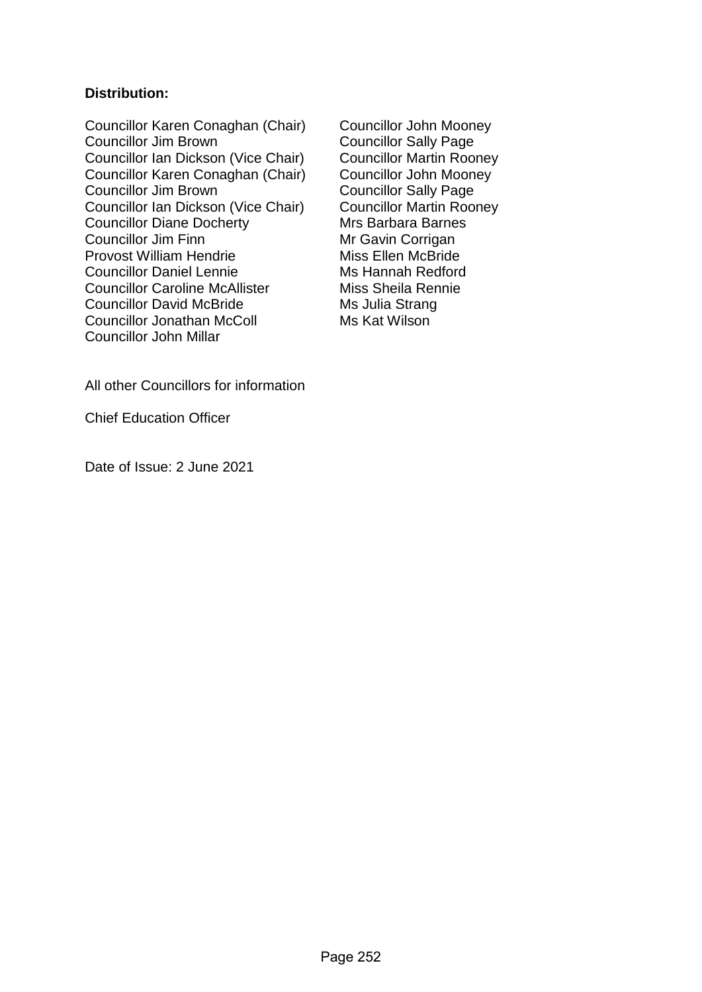#### **Distribution:**

Councillor Karen Conaghan (Chair) Councillor John Mooney Councillor Jim Brown<br>
Councillor Ian Dickson (Vice Chair) Councillor Martin Rooney Councillor Ian Dickson (Vice Chair) Councillor Martin Rooney<br>Councillor Karen Conaghan (Chair) Councillor John Mooney Councillor Karen Conaghan (Chair)<br>Councillor Jim Brown Councillor Ian Dickson (Vice Chair) Councillor Diane Docherty<br>
Councillor Jim Finn<br>
Mr Gavin Corrigan Provost William Hendrie Councillor Daniel Lennie Ms Hannah Redford Councillor Caroline McAllister Miss Sheila Rennie Councillor David McBride Ms Julia Strang Councillor Jonathan McColl Ms Kat Wilson Councillor John Millar

Councillor Sally Page<br>Councillor Martin Rooney Mr Gavin Corrigan<br>Miss Ellen McBride

All other Councillors for information

Chief Education Officer

Date of Issue: 2 June 2021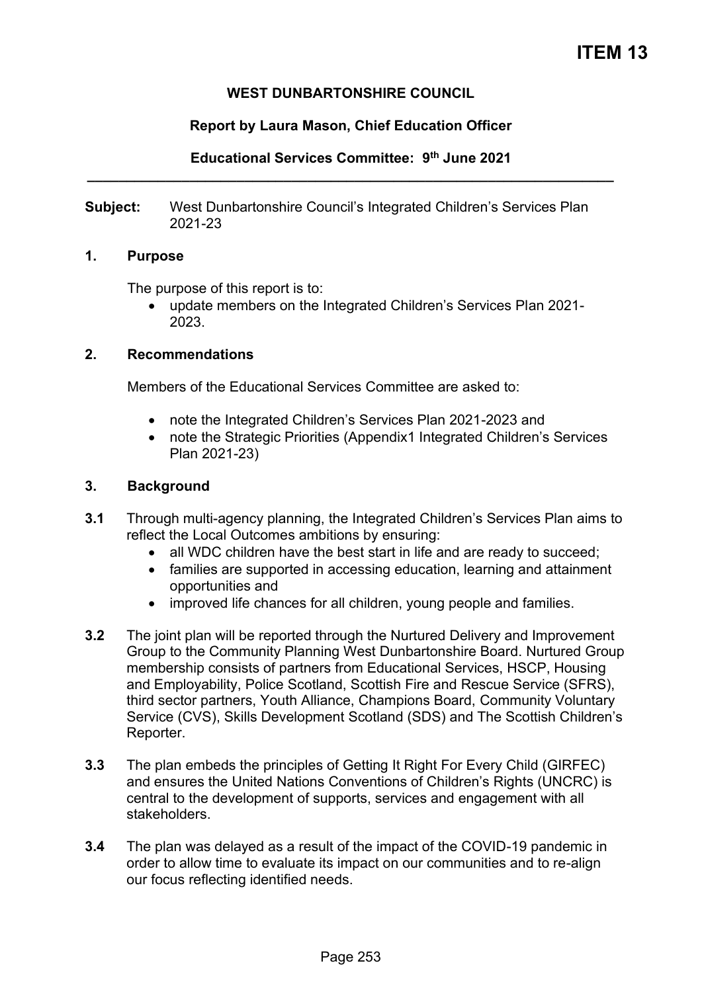#### **WEST DUNBARTONSHIRE COUNCIL**

#### **Report by Laura Mason, Chief Education Officer**

**Educational Services Committee: 9th June 2021 \_\_\_\_\_\_\_\_\_\_\_\_\_\_\_\_\_\_\_\_\_\_\_\_\_\_\_\_\_\_\_\_\_\_\_\_\_\_\_\_\_\_\_\_\_\_\_\_\_\_\_\_\_\_\_\_\_\_\_\_\_\_\_\_\_\_\_** 

**Subject:** West Dunbartonshire Council's Integrated Children's Services Plan 2021-23

#### **1. Purpose**

The purpose of this report is to:

• update members on the Integrated Children's Services Plan 2021- 2023.

#### **2. Recommendations**

Members of the Educational Services Committee are asked to:

- note the Integrated Children's Services Plan 2021-2023 and
- note the Strategic Priorities (Appendix1 Integrated Children's Services Plan 2021-23)

#### **3. Background**

- **3.1** Through multi-agency planning, the Integrated Children's Services Plan aims to reflect the Local Outcomes ambitions by ensuring:
	- all WDC children have the best start in life and are ready to succeed;
	- families are supported in accessing education, learning and attainment opportunities and
	- improved life chances for all children, young people and families.
- **3.2** The joint plan will be reported through the Nurtured Delivery and Improvement Group to the Community Planning West Dunbartonshire Board. Nurtured Group membership consists of partners from Educational Services, HSCP, Housing and Employability, Police Scotland, Scottish Fire and Rescue Service (SFRS), third sector partners, Youth Alliance, Champions Board, Community Voluntary Service (CVS), Skills Development Scotland (SDS) and The Scottish Children's Reporter.
- **3.3** The plan embeds the principles of Getting It Right For Every Child (GIRFEC) and ensures the United Nations Conventions of Children's Rights (UNCRC) is central to the development of supports, services and engagement with all stakeholders.
- **3.4** The plan was delayed as a result of the impact of the COVID-19 pandemic in order to allow time to evaluate its impact on our communities and to re-align our focus reflecting identified needs.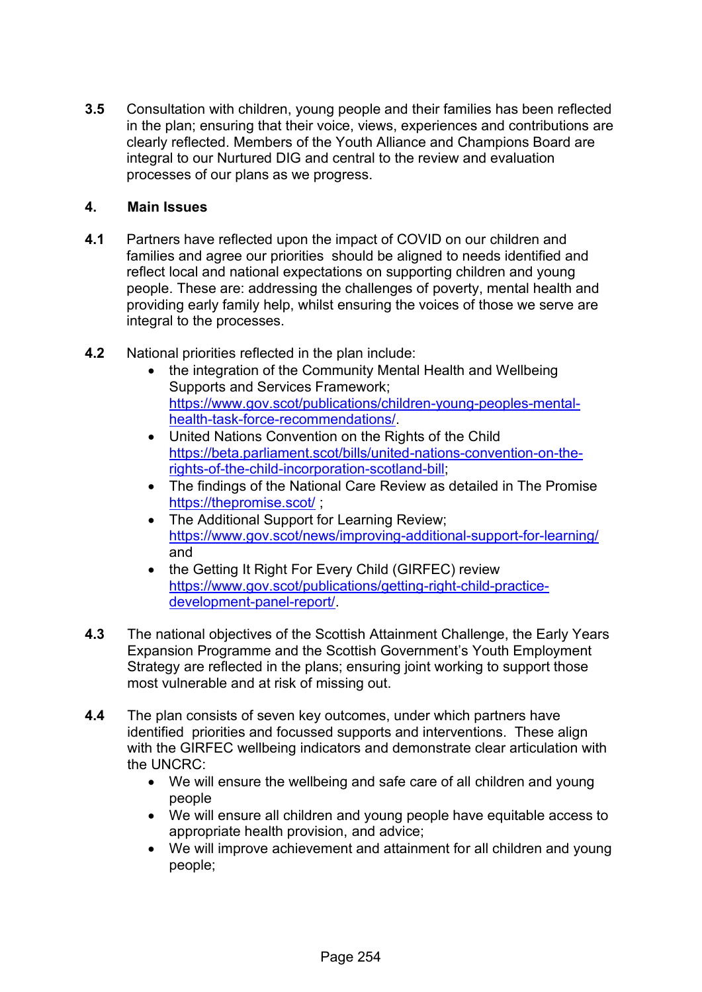**3.5** Consultation with children, young people and their families has been reflected in the plan; ensuring that their voice, views, experiences and contributions are clearly reflected. Members of the Youth Alliance and Champions Board are integral to our Nurtured DIG and central to the review and evaluation processes of our plans as we progress.

#### **4. Main Issues**

- **4.1** Partners have reflected upon the impact of COVID on our children and families and agree our priorities should be aligned to needs identified and reflect local and national expectations on supporting children and young people. These are: addressing the challenges of poverty, mental health and providing early family help, whilst ensuring the voices of those we serve are integral to the processes.
- **4.2** National priorities reflected in the plan include:
	- the integration of the Community Mental Health and Wellbeing Supports and Services Framework; [https://www.gov.scot/publications/children-young-peoples-mental](https://www.gov.scot/publications/children-young-peoples-mental-health-task-force-recommendations/)[health-task-force-recommendations/.](https://www.gov.scot/publications/children-young-peoples-mental-health-task-force-recommendations/)
	- United Nations Convention on the Rights of the Child [https://beta.parliament.scot/bills/united-nations-convention-on-the](https://beta.parliament.scot/bills/united-nations-convention-on-the-rights-of-the-child-incorporation-scotland-bill)[rights-of-the-child-incorporation-scotland-bill;](https://beta.parliament.scot/bills/united-nations-convention-on-the-rights-of-the-child-incorporation-scotland-bill)
	- The findings of the National Care Review as detailed in The Promise <https://thepromise.scot/>;
	- The Additional Support for Learning Review; <https://www.gov.scot/news/improving-additional-support-for-learning/> and
	- the Getting It Right For Every Child (GIRFEC) review [https://www.gov.scot/publications/getting-right-child-practice](https://www.gov.scot/publications/getting-right-child-practice-development-panel-report/)[development-panel-report/.](https://www.gov.scot/publications/getting-right-child-practice-development-panel-report/)
- **4.3** The national objectives of the Scottish Attainment Challenge, the Early Years Expansion Programme and the Scottish Government's Youth Employment Strategy are reflected in the plans; ensuring joint working to support those most vulnerable and at risk of missing out.
- **4.4** The plan consists of seven key outcomes, under which partners have identified priorities and focussed supports and interventions. These align with the GIRFEC wellbeing indicators and demonstrate clear articulation with the UNCRC:
	- We will ensure the wellbeing and safe care of all children and young people
	- We will ensure all children and young people have equitable access to appropriate health provision, and advice;
	- We will improve achievement and attainment for all children and young people;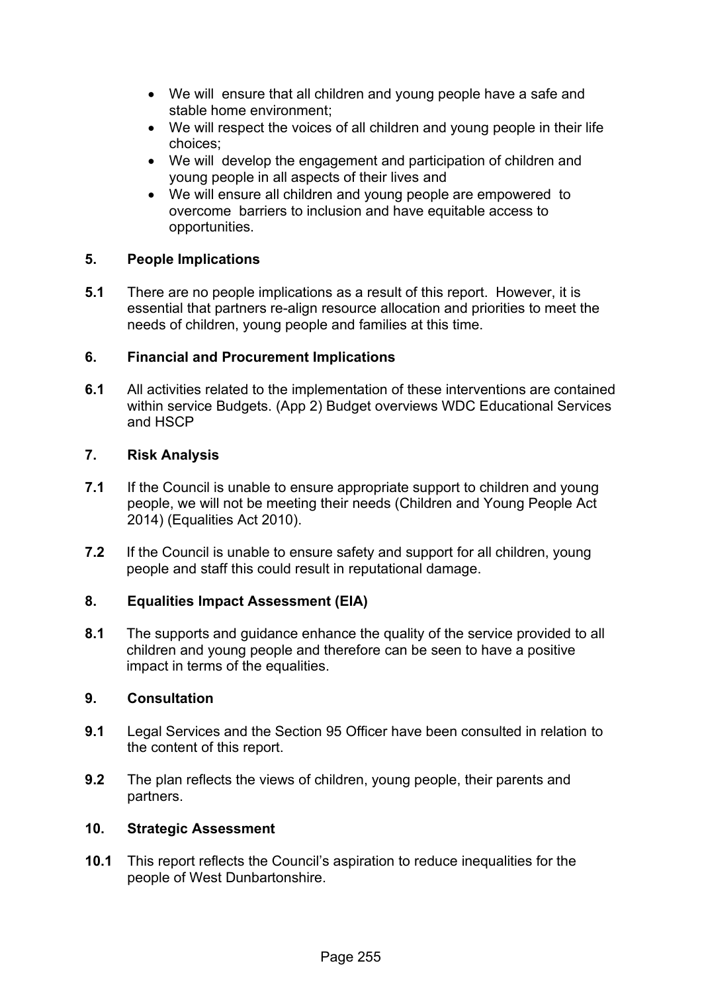- We will ensure that all children and young people have a safe and stable home environment;
- We will respect the voices of all children and young people in their life choices;
- We will develop the engagement and participation of children and young people in all aspects of their lives and
- We will ensure all children and young people are empowered to overcome barriers to inclusion and have equitable access to opportunities.

#### **5. People Implications**

**5.1** There are no people implications as a result of this report. However, it is essential that partners re-align resource allocation and priorities to meet the needs of children, young people and families at this time.

#### **6. Financial and Procurement Implications**

**6.1** All activities related to the implementation of these interventions are contained within service Budgets. (App 2) Budget overviews WDC Educational Services and HSCP

#### **7. Risk Analysis**

- **7.1** If the Council is unable to ensure appropriate support to children and young people, we will not be meeting their needs (Children and Young People Act 2014) (Equalities Act 2010).
- **7.2** If the Council is unable to ensure safety and support for all children, young people and staff this could result in reputational damage.

#### **8. Equalities Impact Assessment (EIA)**

**8.1** The supports and guidance enhance the quality of the service provided to all children and young people and therefore can be seen to have a positive impact in terms of the equalities.

#### **9. Consultation**

- **9.1** Legal Services and the Section 95 Officer have been consulted in relation to the content of this report.
- **9.2** The plan reflects the views of children, young people, their parents and partners.

#### **10. Strategic Assessment**

**10.1** This report reflects the Council's aspiration to reduce inequalities for the people of West Dunbartonshire.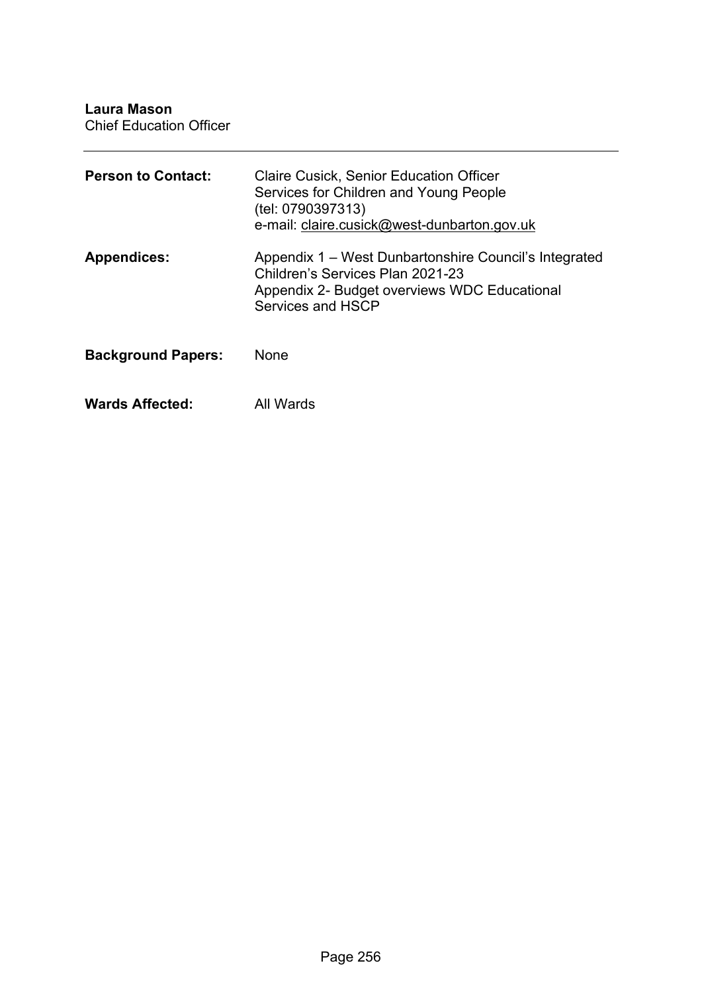**Laura Mason**

Chief Education Officer

| <b>Person to Contact:</b> | <b>Claire Cusick, Senior Education Officer</b><br>Services for Children and Young People<br>(tel: 0790397313)<br>e-mail: claire.cusick@west-dunbarton.gov.uk   |
|---------------------------|----------------------------------------------------------------------------------------------------------------------------------------------------------------|
| <b>Appendices:</b>        | Appendix 1 – West Dunbartonshire Council's Integrated<br>Children's Services Plan 2021-23<br>Appendix 2- Budget overviews WDC Educational<br>Services and HSCP |
| <b>Background Papers:</b> | <b>None</b>                                                                                                                                                    |
| <b>Wards Affected:</b>    | All Wards                                                                                                                                                      |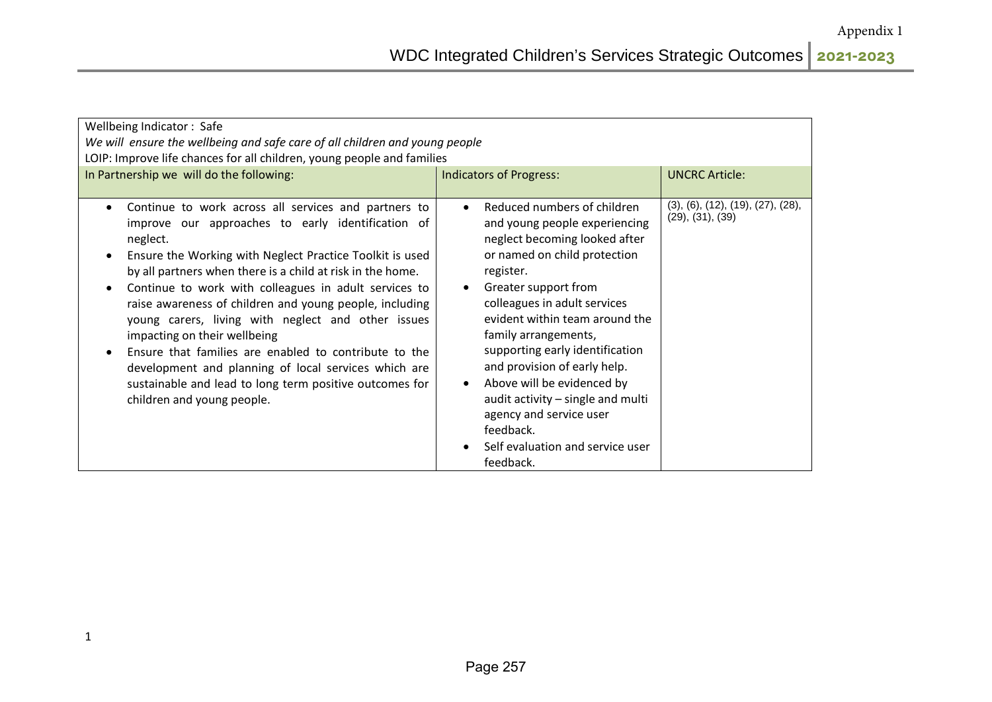| Wellbeing Indicator: Safe<br>We will ensure the wellbeing and safe care of all children and young people<br>LOIP: Improve life chances for all children, young people and families<br>In Partnership we will do the following:<br><b>UNCRC Article:</b><br><b>Indicators of Progress:</b>                                                                                                                                                                                                                                                                                                                                                                           |                                                                                                                                                                                                                                                                                                                                                                                                                                                                                                                       |                                   |  |
|---------------------------------------------------------------------------------------------------------------------------------------------------------------------------------------------------------------------------------------------------------------------------------------------------------------------------------------------------------------------------------------------------------------------------------------------------------------------------------------------------------------------------------------------------------------------------------------------------------------------------------------------------------------------|-----------------------------------------------------------------------------------------------------------------------------------------------------------------------------------------------------------------------------------------------------------------------------------------------------------------------------------------------------------------------------------------------------------------------------------------------------------------------------------------------------------------------|-----------------------------------|--|
|                                                                                                                                                                                                                                                                                                                                                                                                                                                                                                                                                                                                                                                                     |                                                                                                                                                                                                                                                                                                                                                                                                                                                                                                                       | (3), (6), (12), (19), (27), (28), |  |
| Continue to work across all services and partners to<br>improve our approaches to early identification of<br>neglect.<br>Ensure the Working with Neglect Practice Toolkit is used<br>by all partners when there is a child at risk in the home.<br>Continue to work with colleagues in adult services to<br>raise awareness of children and young people, including<br>young carers, living with neglect and other issues<br>impacting on their wellbeing<br>Ensure that families are enabled to contribute to the<br>development and planning of local services which are<br>sustainable and lead to long term positive outcomes for<br>children and young people. | Reduced numbers of children<br>$\bullet$<br>and young people experiencing<br>neglect becoming looked after<br>or named on child protection<br>register.<br>Greater support from<br>colleagues in adult services<br>evident within team around the<br>family arrangements,<br>supporting early identification<br>and provision of early help.<br>Above will be evidenced by<br>$\bullet$<br>audit activity - single and multi<br>agency and service user<br>feedback.<br>Self evaluation and service user<br>feedback. | (29), (31), (39)                  |  |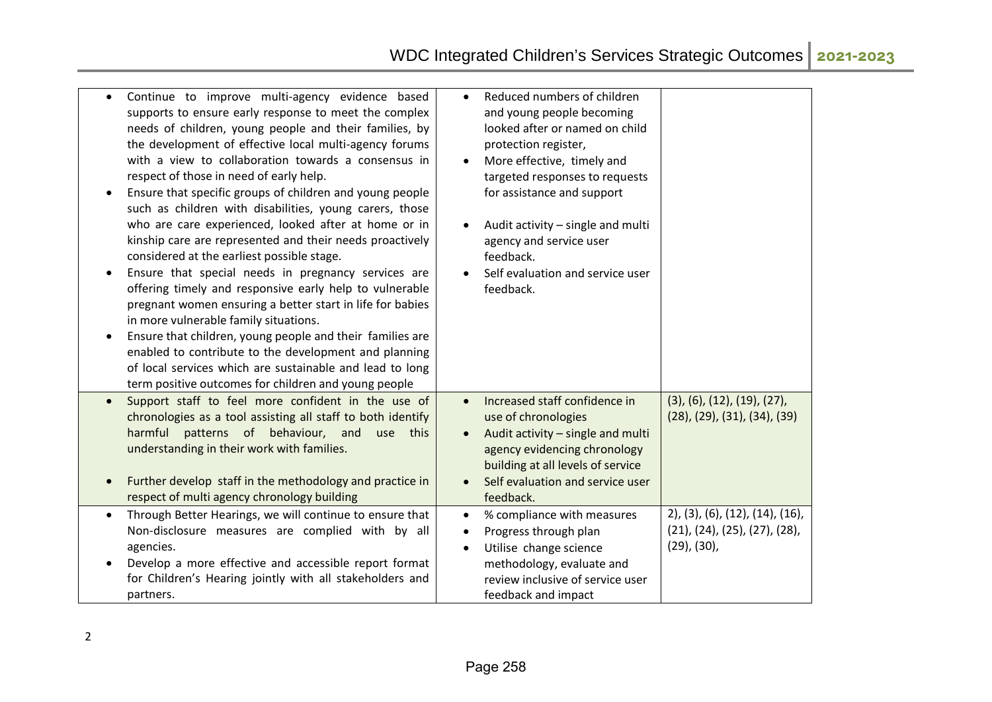|           | Continue to improve multi-agency evidence based<br>supports to ensure early response to meet the complex<br>needs of children, young people and their families, by<br>the development of effective local multi-agency forums<br>with a view to collaboration towards a consensus in<br>respect of those in need of early help.<br>Ensure that specific groups of children and young people<br>such as children with disabilities, young carers, those<br>who are care experienced, looked after at home or in<br>kinship care are represented and their needs proactively<br>considered at the earliest possible stage.<br>Ensure that special needs in pregnancy services are<br>offering timely and responsive early help to vulnerable<br>pregnant women ensuring a better start in life for babies<br>in more vulnerable family situations.<br>Ensure that children, young people and their families are<br>enabled to contribute to the development and planning<br>of local services which are sustainable and lead to long<br>term positive outcomes for children and young people | Reduced numbers of children<br>$\bullet$<br>and young people becoming<br>looked after or named on child<br>protection register,<br>More effective, timely and<br>targeted responses to requests<br>for assistance and support<br>Audit activity - single and multi<br>agency and service user<br>feedback.<br>Self evaluation and service user<br>feedback. |                                                                                                          |
|-----------|-------------------------------------------------------------------------------------------------------------------------------------------------------------------------------------------------------------------------------------------------------------------------------------------------------------------------------------------------------------------------------------------------------------------------------------------------------------------------------------------------------------------------------------------------------------------------------------------------------------------------------------------------------------------------------------------------------------------------------------------------------------------------------------------------------------------------------------------------------------------------------------------------------------------------------------------------------------------------------------------------------------------------------------------------------------------------------------------|-------------------------------------------------------------------------------------------------------------------------------------------------------------------------------------------------------------------------------------------------------------------------------------------------------------------------------------------------------------|----------------------------------------------------------------------------------------------------------|
| $\bullet$ | Support staff to feel more confident in the use of<br>chronologies as a tool assisting all staff to both identify<br>patterns of behaviour, and<br>harmful<br>this<br>use<br>understanding in their work with families.<br>Further develop staff in the methodology and practice in<br>respect of multi agency chronology building                                                                                                                                                                                                                                                                                                                                                                                                                                                                                                                                                                                                                                                                                                                                                        | Increased staff confidence in<br>$\bullet$<br>use of chronologies<br>Audit activity - single and multi<br>agency evidencing chronology<br>building at all levels of service<br>Self evaluation and service user<br>feedback.                                                                                                                                | $(3)$ , $(6)$ , $(12)$ , $(19)$ , $(27)$ ,<br>$(28)$ , $(29)$ , $(31)$ , $(34)$ , $(39)$                 |
|           | Through Better Hearings, we will continue to ensure that<br>Non-disclosure measures are complied with by all<br>agencies.<br>Develop a more effective and accessible report format<br>for Children's Hearing jointly with all stakeholders and<br>partners.                                                                                                                                                                                                                                                                                                                                                                                                                                                                                                                                                                                                                                                                                                                                                                                                                               | % compliance with measures<br>$\bullet$<br>Progress through plan<br>$\bullet$<br>Utilise change science<br>$\bullet$<br>methodology, evaluate and<br>review inclusive of service user<br>feedback and impact                                                                                                                                                | $(2)$ , $(3)$ , $(6)$ , $(12)$ , $(14)$ , $(16)$ ,<br>(21), (24), (25), (27), (28),<br>$(29)$ , $(30)$ , |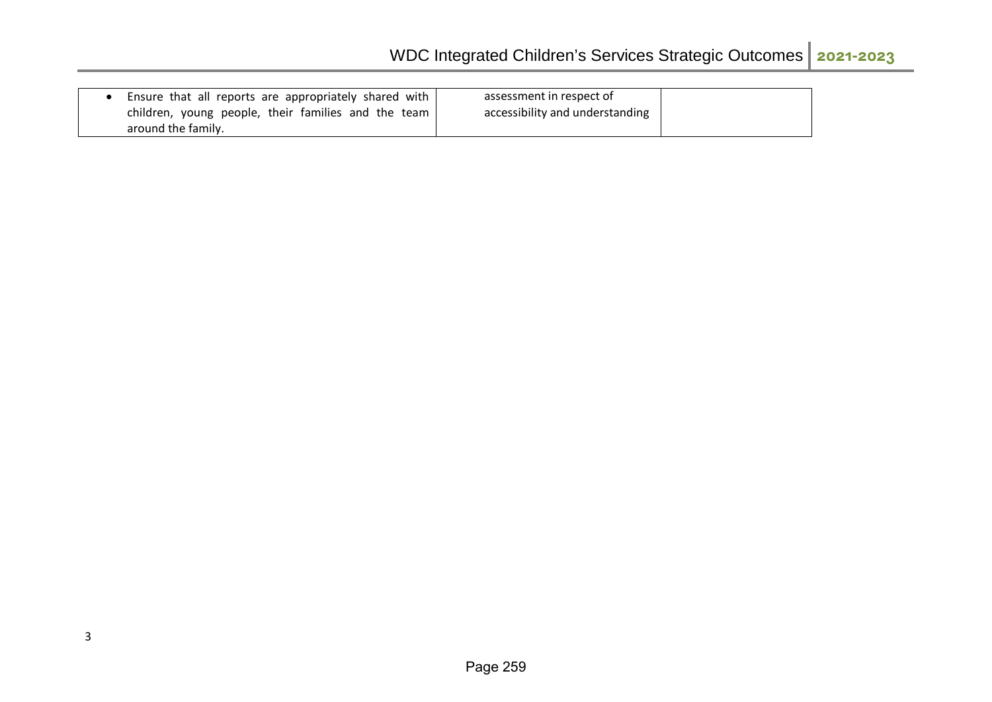| Ensure that all reports are appropriately shared with | assessment in respect of        |  |
|-------------------------------------------------------|---------------------------------|--|
| children, young people, their families and the team I | accessibility and understanding |  |
| around the family.                                    |                                 |  |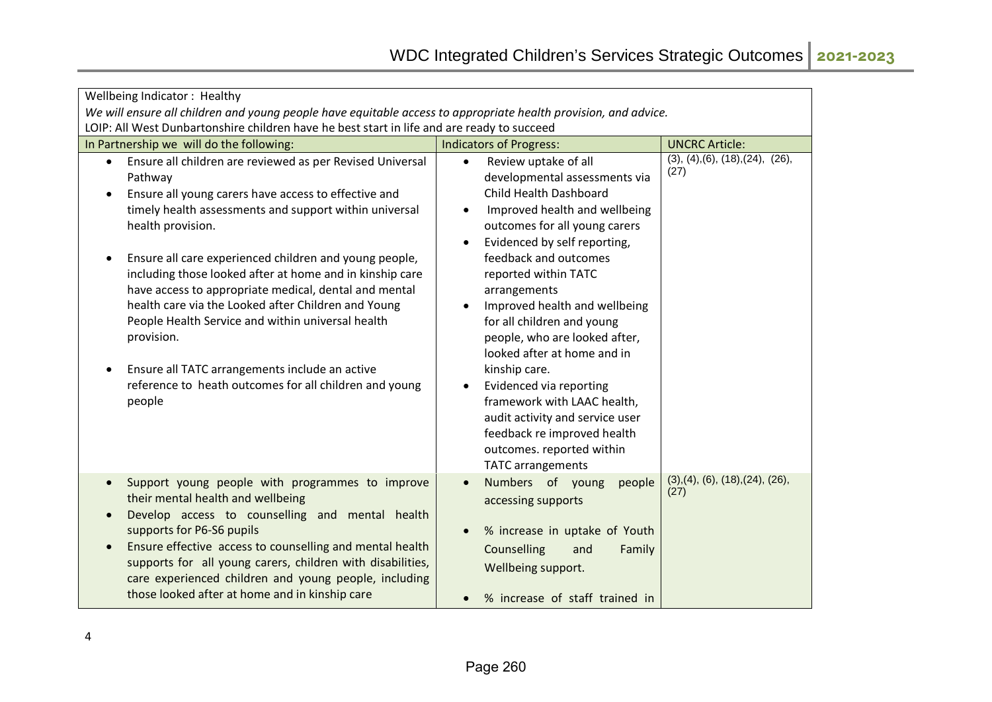| Wellbeing Indicator: Healthy                                                                                      |                                                            |                                          |  |
|-------------------------------------------------------------------------------------------------------------------|------------------------------------------------------------|------------------------------------------|--|
| We will ensure all children and young people have equitable access to appropriate health provision, and advice.   |                                                            |                                          |  |
| LOIP: All West Dunbartonshire children have he best start in life and are ready to succeed                        |                                                            |                                          |  |
| In Partnership we will do the following:                                                                          | <b>Indicators of Progress:</b>                             | <b>UNCRC Article:</b>                    |  |
| Ensure all children are reviewed as per Revised Universal<br>$\bullet$                                            | Review uptake of all<br>$\bullet$                          | (3), (4), (6), (18), (24), (26),<br>(27) |  |
| Pathway                                                                                                           | developmental assessments via                              |                                          |  |
| Ensure all young carers have access to effective and                                                              | Child Health Dashboard                                     |                                          |  |
| timely health assessments and support within universal                                                            | Improved health and wellbeing<br>$\bullet$                 |                                          |  |
| health provision.                                                                                                 | outcomes for all young carers                              |                                          |  |
|                                                                                                                   | Evidenced by self reporting,<br>$\bullet$                  |                                          |  |
| Ensure all care experienced children and young people,                                                            | feedback and outcomes                                      |                                          |  |
| including those looked after at home and in kinship care<br>have access to appropriate medical, dental and mental | reported within TATC                                       |                                          |  |
| health care via the Looked after Children and Young                                                               | arrangements<br>Improved health and wellbeing<br>$\bullet$ |                                          |  |
| People Health Service and within universal health                                                                 | for all children and young                                 |                                          |  |
| provision.                                                                                                        | people, who are looked after,                              |                                          |  |
|                                                                                                                   | looked after at home and in                                |                                          |  |
| Ensure all TATC arrangements include an active                                                                    | kinship care.                                              |                                          |  |
| reference to heath outcomes for all children and young                                                            | Evidenced via reporting<br>$\bullet$                       |                                          |  |
| people                                                                                                            | framework with LAAC health,                                |                                          |  |
|                                                                                                                   | audit activity and service user                            |                                          |  |
|                                                                                                                   | feedback re improved health                                |                                          |  |
|                                                                                                                   | outcomes. reported within                                  |                                          |  |
|                                                                                                                   | <b>TATC</b> arrangements                                   |                                          |  |
| Support young people with programmes to improve<br>$\bullet$                                                      | Numbers of young<br>people<br>$\bullet$                    | (3), (4), (6), (18), (24), (26),         |  |
| their mental health and wellbeing                                                                                 | accessing supports                                         | (27)                                     |  |
| Develop access to counselling and mental health<br>$\bullet$                                                      |                                                            |                                          |  |
| supports for P6-S6 pupils                                                                                         | % increase in uptake of Youth<br>$\bullet$                 |                                          |  |
| Ensure effective access to counselling and mental health                                                          | Counselling<br>and<br>Family                               |                                          |  |
| supports for all young carers, children with disabilities,                                                        | Wellbeing support.                                         |                                          |  |
| care experienced children and young people, including                                                             |                                                            |                                          |  |
| those looked after at home and in kinship care                                                                    | % increase of staff trained in<br>$\bullet$                |                                          |  |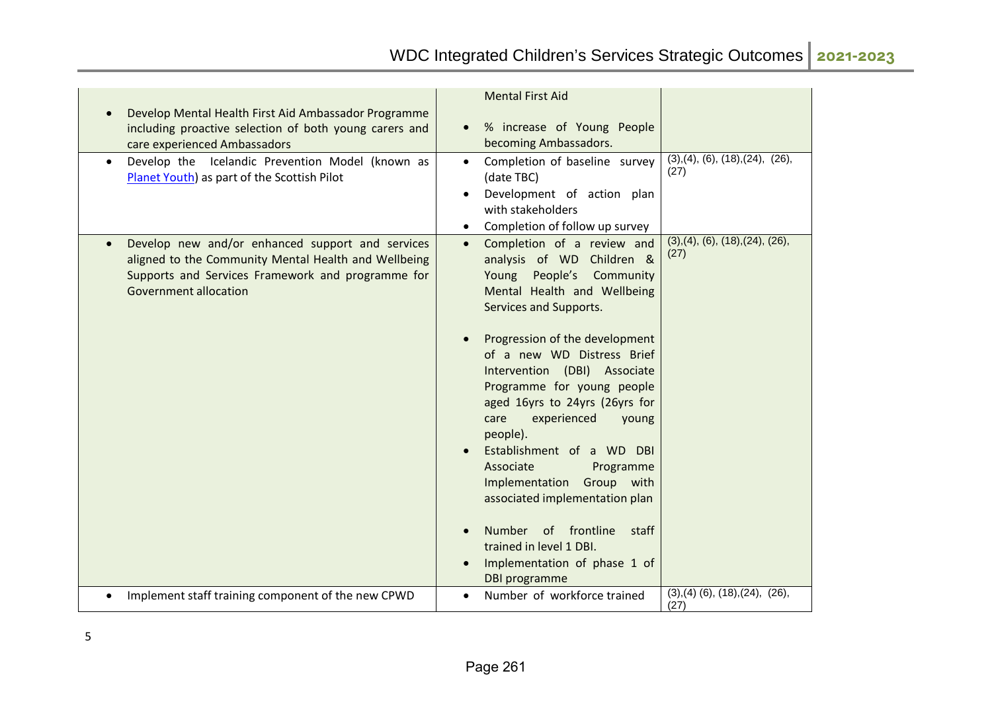| Develop Mental Health First Aid Ambassador Programme<br>including proactive selection of both young carers and<br>care experienced Ambassadors                                                             | <b>Mental First Aid</b><br>% increase of Young People<br>becoming Ambassadors.                                                                                                                                                                                                                                                                                                                                                                                                                                                                                                                                             |                                             |
|------------------------------------------------------------------------------------------------------------------------------------------------------------------------------------------------------------|----------------------------------------------------------------------------------------------------------------------------------------------------------------------------------------------------------------------------------------------------------------------------------------------------------------------------------------------------------------------------------------------------------------------------------------------------------------------------------------------------------------------------------------------------------------------------------------------------------------------------|---------------------------------------------|
| Develop the Icelandic Prevention Model (known as<br>$\bullet$<br>Planet Youth) as part of the Scottish Pilot                                                                                               | Completion of baseline survey<br>(date TBC)<br>Development of action plan<br>with stakeholders<br>Completion of follow up survey                                                                                                                                                                                                                                                                                                                                                                                                                                                                                           | (3), (4), (6), (18), (24), (26),<br>(27)    |
| Develop new and/or enhanced support and services<br>$\bullet$<br>aligned to the Community Mental Health and Wellbeing<br>Supports and Services Framework and programme for<br><b>Government allocation</b> | Completion of a review and<br>$\bullet$<br>analysis of WD Children &<br>People's<br>Community<br>Young<br>Mental Health and Wellbeing<br>Services and Supports.<br>Progression of the development<br>of a new WD Distress Brief<br>Intervention (DBI) Associate<br>Programme for young people<br>aged 16yrs to 24yrs (26yrs for<br>experienced<br>care<br>young<br>people).<br>Establishment of a WD DBI<br>Associate<br>Programme<br>Implementation<br>Group with<br>associated implementation plan<br>of frontline<br>Number<br>staff<br>trained in level 1 DBI.<br>Implementation of phase 1 of<br><b>DBI</b> programme | (3), (4), (6), (18), (24), (26),<br>(27)    |
| Implement staff training component of the new CPWD                                                                                                                                                         | Number of workforce trained<br>$\bullet$                                                                                                                                                                                                                                                                                                                                                                                                                                                                                                                                                                                   | $(3), (4)$ $(6), (18), (24), (26),$<br>(27) |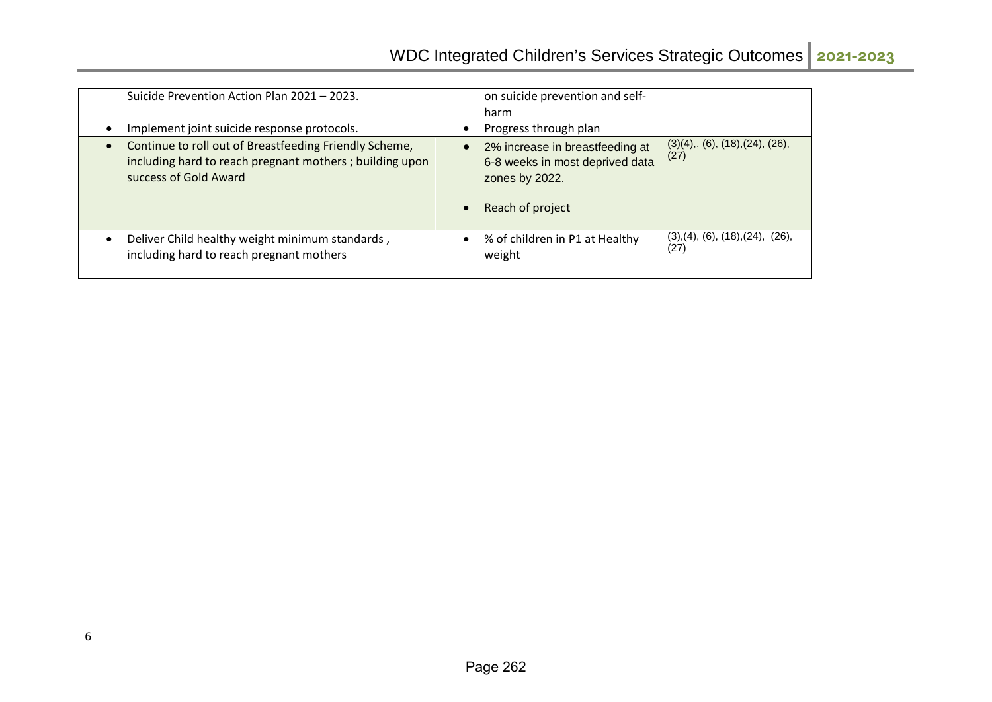| Suicide Prevention Action Plan 2021 - 2023.                         | on suicide prevention and self-             |                                                |
|---------------------------------------------------------------------|---------------------------------------------|------------------------------------------------|
|                                                                     | harm                                        |                                                |
| Implement joint suicide response protocols.                         | Progress through plan                       |                                                |
| Continue to roll out of Breastfeeding Friendly Scheme,<br>$\bullet$ | 2% increase in breastfeeding at             | $(3)(4)$ ,, $(6)$ , $(18)$ , $(24)$ , $(26)$ , |
| including hard to reach pregnant mothers; building upon             | 6-8 weeks in most deprived data             | (27)                                           |
| success of Gold Award                                               | zones by 2022.                              |                                                |
|                                                                     | Reach of project                            |                                                |
| Deliver Child healthy weight minimum standards,                     | % of children in P1 at Healthy<br>$\bullet$ | (3), (4), (6), (18), (24), (26),<br>(27)       |
| including hard to reach pregnant mothers                            | weight                                      |                                                |
|                                                                     |                                             |                                                |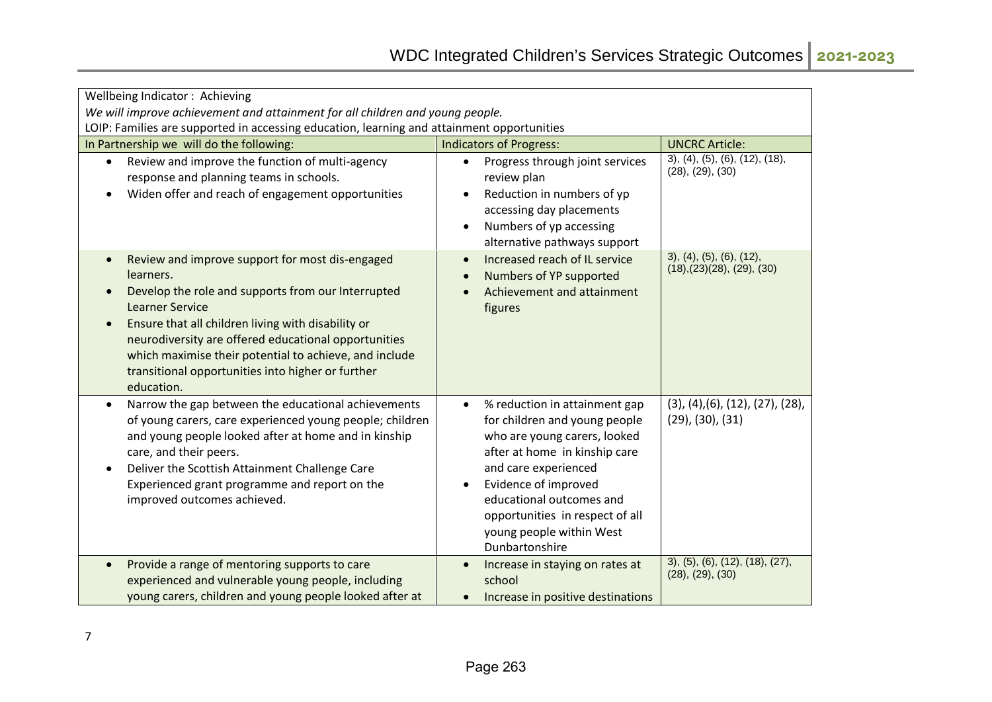| Wellbeing Indicator: Achieving                                                                                                                                                                                                                                                                                                                                                                                    |                                                                                                                                                                                                                                                                                                                        |                                                                                |  |
|-------------------------------------------------------------------------------------------------------------------------------------------------------------------------------------------------------------------------------------------------------------------------------------------------------------------------------------------------------------------------------------------------------------------|------------------------------------------------------------------------------------------------------------------------------------------------------------------------------------------------------------------------------------------------------------------------------------------------------------------------|--------------------------------------------------------------------------------|--|
| We will improve achievement and attainment for all children and young people.<br>LOIP: Families are supported in accessing education, learning and attainment opportunities                                                                                                                                                                                                                                       |                                                                                                                                                                                                                                                                                                                        |                                                                                |  |
| In Partnership we will do the following:                                                                                                                                                                                                                                                                                                                                                                          | <b>Indicators of Progress:</b>                                                                                                                                                                                                                                                                                         | <b>UNCRC Article:</b>                                                          |  |
| Review and improve the function of multi-agency<br>$\bullet$<br>response and planning teams in schools.<br>Widen offer and reach of engagement opportunities                                                                                                                                                                                                                                                      | Progress through joint services<br>$\bullet$<br>review plan<br>Reduction in numbers of yp<br>$\bullet$<br>accessing day placements<br>Numbers of yp accessing<br>$\bullet$<br>alternative pathways support                                                                                                             | $3)$ , $(4)$ , $(5)$ , $(6)$ , $(12)$ , $(18)$ ,<br>(28), (29), (30)           |  |
| Review and improve support for most dis-engaged<br>$\bullet$<br>learners.<br>Develop the role and supports from our Interrupted<br>$\bullet$<br><b>Learner Service</b><br>Ensure that all children living with disability or<br>neurodiversity are offered educational opportunities<br>which maximise their potential to achieve, and include<br>transitional opportunities into higher or further<br>education. | Increased reach of IL service<br>$\bullet$<br>Numbers of YP supported<br>Achievement and attainment<br>figures                                                                                                                                                                                                         | 3), (4), (5), (6), (12),<br>(18), (23)(28), (29), (30)                         |  |
| Narrow the gap between the educational achievements<br>$\bullet$<br>of young carers, care experienced young people; children<br>and young people looked after at home and in kinship<br>care, and their peers.<br>Deliver the Scottish Attainment Challenge Care<br>Experienced grant programme and report on the<br>improved outcomes achieved.                                                                  | % reduction in attainment gap<br>$\bullet$<br>for children and young people<br>who are young carers, looked<br>after at home in kinship care<br>and care experienced<br>Evidence of improved<br>$\bullet$<br>educational outcomes and<br>opportunities in respect of all<br>young people within West<br>Dunbartonshire | $(3)$ , $(4)$ , $(6)$ , $(12)$ , $(27)$ , $(28)$ ,<br>$(29)$ , $(30)$ , $(31)$ |  |
| Provide a range of mentoring supports to care<br>$\bullet$<br>experienced and vulnerable young people, including<br>young carers, children and young people looked after at                                                                                                                                                                                                                                       | Increase in staying on rates at<br>school<br>Increase in positive destinations<br>$\bullet$                                                                                                                                                                                                                            | 3), (5), (6), (12), (18), (27),<br>(28), (29), (30)                            |  |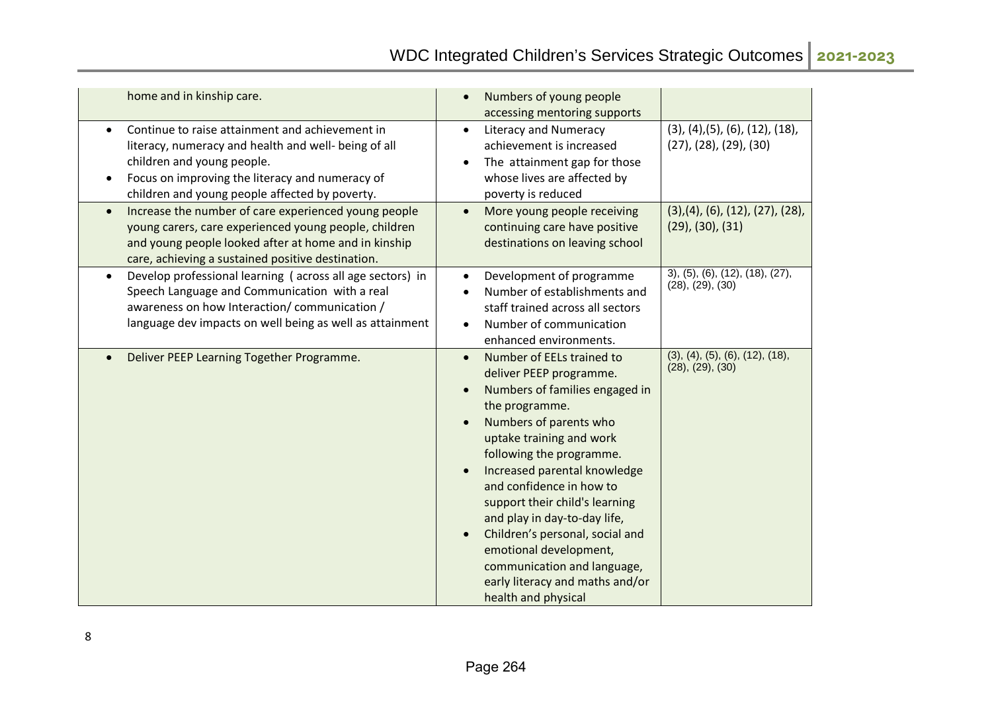| home and in kinship care.                                                                                                                                                                                                                  | Numbers of young people<br>$\bullet$<br>accessing mentoring supports                                                                                                                                                                                                                                                                                                                                                                                                                                                                            |                                                                                        |
|--------------------------------------------------------------------------------------------------------------------------------------------------------------------------------------------------------------------------------------------|-------------------------------------------------------------------------------------------------------------------------------------------------------------------------------------------------------------------------------------------------------------------------------------------------------------------------------------------------------------------------------------------------------------------------------------------------------------------------------------------------------------------------------------------------|----------------------------------------------------------------------------------------|
| Continue to raise attainment and achievement in<br>literacy, numeracy and health and well- being of all<br>children and young people.<br>Focus on improving the literacy and numeracy of<br>children and young people affected by poverty. | <b>Literacy and Numeracy</b><br>$\bullet$<br>achievement is increased<br>The attainment gap for those<br>$\bullet$<br>whose lives are affected by<br>poverty is reduced                                                                                                                                                                                                                                                                                                                                                                         | $(3)$ , $(4)$ , $(5)$ , $(6)$ , $(12)$ , $(18)$ ,<br>$(27)$ , $(28)$ , $(29)$ , $(30)$ |
| Increase the number of care experienced young people<br>young carers, care experienced young people, children<br>and young people looked after at home and in kinship<br>care, achieving a sustained positive destination.                 | More young people receiving<br>$\bullet$<br>continuing care have positive<br>destinations on leaving school                                                                                                                                                                                                                                                                                                                                                                                                                                     | (3), (4), (6), (12), (27), (28),<br>$(29)$ , $(30)$ , $(31)$                           |
| Develop professional learning (across all age sectors) in<br>Speech Language and Communication with a real<br>awareness on how Interaction/communication/<br>language dev impacts on well being as well as attainment                      | Development of programme<br>$\bullet$<br>Number of establishments and<br>$\bullet$<br>staff trained across all sectors<br>Number of communication<br>$\bullet$<br>enhanced environments.                                                                                                                                                                                                                                                                                                                                                        | 3), (5), (6), (12), (18), (27),<br>(28), (29), (30)                                    |
| Deliver PEEP Learning Together Programme.                                                                                                                                                                                                  | Number of EELs trained to<br>$\bullet$<br>deliver PEEP programme.<br>Numbers of families engaged in<br>$\bullet$<br>the programme.<br>Numbers of parents who<br>$\bullet$<br>uptake training and work<br>following the programme.<br>Increased parental knowledge<br>$\bullet$<br>and confidence in how to<br>support their child's learning<br>and play in day-to-day life,<br>Children's personal, social and<br>$\bullet$<br>emotional development,<br>communication and language,<br>early literacy and maths and/or<br>health and physical | (3), (4), (5), (6), (12), (18),<br>(28), (29), (30)                                    |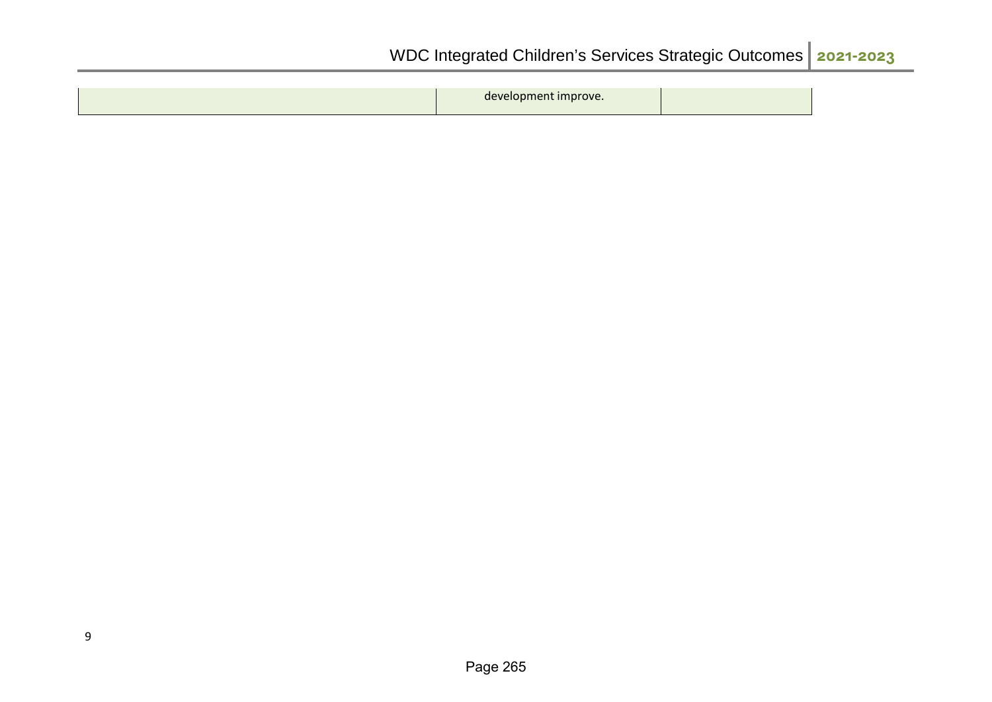| developr<br>--- | $\cdots$ $\cdots$ $\cdots$ |
|-----------------|----------------------------|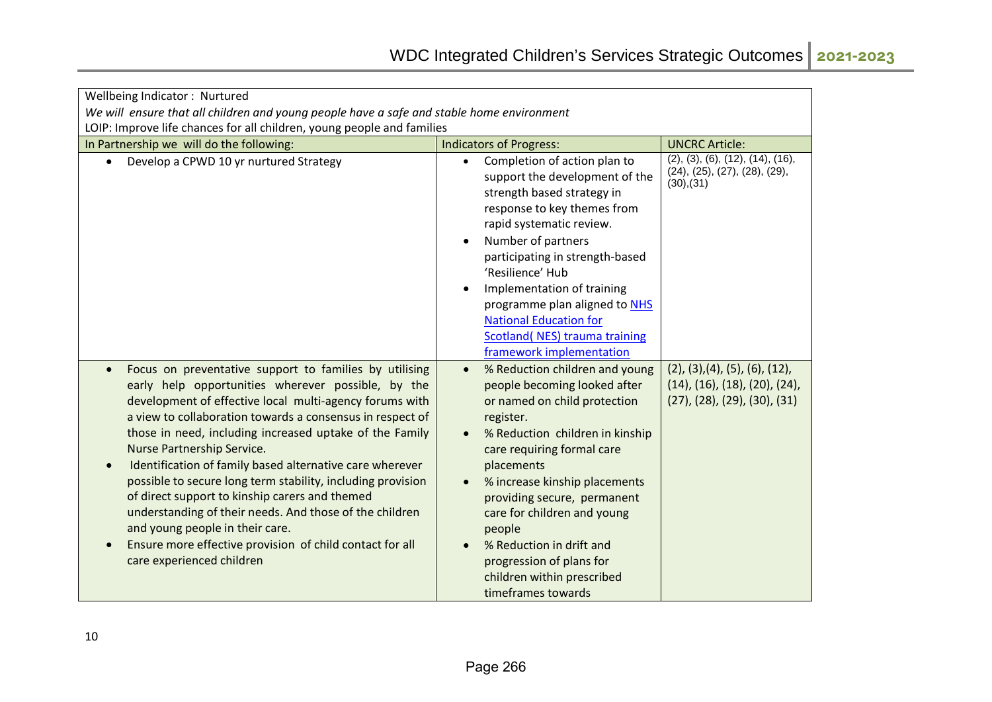| Wellbeing Indicator: Nurtured                                                                                                                                                                                                                                                                                                                                                                                                                                                                                                                                                                                                                                                                     |                                                                                                                                                                                                                                                                                                                                                                                                                                                                     |                                                                                                                              |
|---------------------------------------------------------------------------------------------------------------------------------------------------------------------------------------------------------------------------------------------------------------------------------------------------------------------------------------------------------------------------------------------------------------------------------------------------------------------------------------------------------------------------------------------------------------------------------------------------------------------------------------------------------------------------------------------------|---------------------------------------------------------------------------------------------------------------------------------------------------------------------------------------------------------------------------------------------------------------------------------------------------------------------------------------------------------------------------------------------------------------------------------------------------------------------|------------------------------------------------------------------------------------------------------------------------------|
| We will ensure that all children and young people have a safe and stable home environment                                                                                                                                                                                                                                                                                                                                                                                                                                                                                                                                                                                                         |                                                                                                                                                                                                                                                                                                                                                                                                                                                                     |                                                                                                                              |
| LOIP: Improve life chances for all children, young people and families                                                                                                                                                                                                                                                                                                                                                                                                                                                                                                                                                                                                                            |                                                                                                                                                                                                                                                                                                                                                                                                                                                                     |                                                                                                                              |
| In Partnership we will do the following:                                                                                                                                                                                                                                                                                                                                                                                                                                                                                                                                                                                                                                                          | <b>Indicators of Progress:</b>                                                                                                                                                                                                                                                                                                                                                                                                                                      | <b>UNCRC Article:</b>                                                                                                        |
| Develop a CPWD 10 yr nurtured Strategy                                                                                                                                                                                                                                                                                                                                                                                                                                                                                                                                                                                                                                                            | Completion of action plan to<br>$\bullet$<br>support the development of the<br>strength based strategy in<br>response to key themes from<br>rapid systematic review.<br>Number of partners<br>$\bullet$<br>participating in strength-based<br>'Resilience' Hub<br>Implementation of training<br>$\bullet$<br>programme plan aligned to NHS<br><b>National Education for</b><br><b>Scotland( NES) trauma training</b><br>framework implementation                    | (2), (3), (6), (12), (14), (16),<br>(24), (25), (27), (28), (29),<br>(30),(31)                                               |
| Focus on preventative support to families by utilising<br>early help opportunities wherever possible, by the<br>development of effective local multi-agency forums with<br>a view to collaboration towards a consensus in respect of<br>those in need, including increased uptake of the Family<br>Nurse Partnership Service.<br>Identification of family based alternative care wherever<br>possible to secure long term stability, including provision<br>of direct support to kinship carers and themed<br>understanding of their needs. And those of the children<br>and young people in their care.<br>Ensure more effective provision of child contact for all<br>care experienced children | % Reduction children and young<br>$\bullet$<br>people becoming looked after<br>or named on child protection<br>register.<br>% Reduction children in kinship<br>$\bullet$<br>care requiring formal care<br>placements<br>% increase kinship placements<br>$\bullet$<br>providing secure, permanent<br>care for children and young<br>people<br>% Reduction in drift and<br>$\bullet$<br>progression of plans for<br>children within prescribed<br>timeframes towards | (2), (3), (4), (5), (6), (12),<br>$(14)$ , $(16)$ , $(18)$ , $(20)$ , $(24)$ ,<br>$(27)$ , $(28)$ , $(29)$ , $(30)$ , $(31)$ |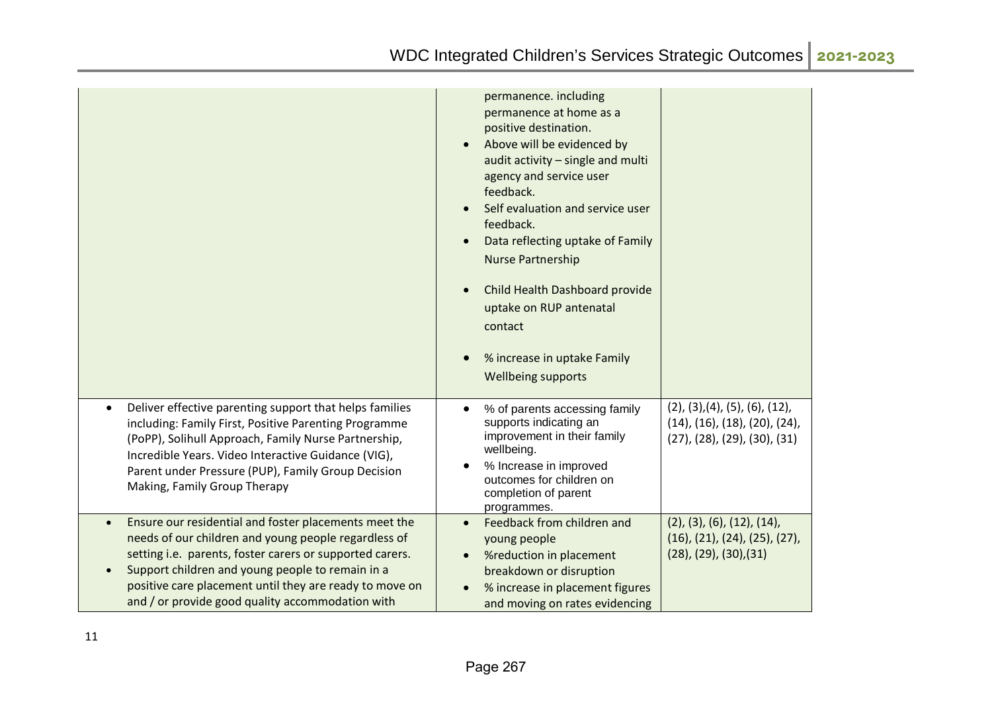|                                                                                                                                                                                                                                                                                                                                                           | permanence. including<br>permanence at home as a<br>positive destination.<br>Above will be evidenced by<br>audit activity - single and multi<br>agency and service user<br>feedback.<br>Self evaluation and service user<br>feedback.<br>Data reflecting uptake of Family<br><b>Nurse Partnership</b><br>Child Health Dashboard provide<br>uptake on RUP antenatal<br>contact<br>% increase in uptake Family<br><b>Wellbeing supports</b> |                                                                                                                                |
|-----------------------------------------------------------------------------------------------------------------------------------------------------------------------------------------------------------------------------------------------------------------------------------------------------------------------------------------------------------|-------------------------------------------------------------------------------------------------------------------------------------------------------------------------------------------------------------------------------------------------------------------------------------------------------------------------------------------------------------------------------------------------------------------------------------------|--------------------------------------------------------------------------------------------------------------------------------|
| Deliver effective parenting support that helps families<br>$\bullet$<br>including: Family First, Positive Parenting Programme<br>(PoPP), Solihull Approach, Family Nurse Partnership,<br>Incredible Years. Video Interactive Guidance (VIG),<br>Parent under Pressure (PUP), Family Group Decision<br>Making, Family Group Therapy                        | % of parents accessing family<br>supports indicating an<br>improvement in their family<br>wellbeing.<br>% Increase in improved<br>outcomes for children on<br>completion of parent<br>programmes.                                                                                                                                                                                                                                         | (2), (3), (4), (5), (6), (12),<br>$(14)$ , $(16)$ , $(18)$ , $(20)$ , $(24)$ ,<br>$(27)$ , $(28)$ , $(29)$ , $(30)$ , $(31)$   |
| Ensure our residential and foster placements meet the<br>$\bullet$<br>needs of our children and young people regardless of<br>setting i.e. parents, foster carers or supported carers.<br>Support children and young people to remain in a<br>positive care placement until they are ready to move on<br>and / or provide good quality accommodation with | Feedback from children and<br>young people<br>%reduction in placement<br>breakdown or disruption<br>% increase in placement figures<br>and moving on rates evidencing                                                                                                                                                                                                                                                                     | $(2)$ , $(3)$ , $(6)$ , $(12)$ , $(14)$ ,<br>$(16)$ , $(21)$ , $(24)$ , $(25)$ , $(27)$ ,<br>$(28)$ , $(29)$ , $(30)$ , $(31)$ |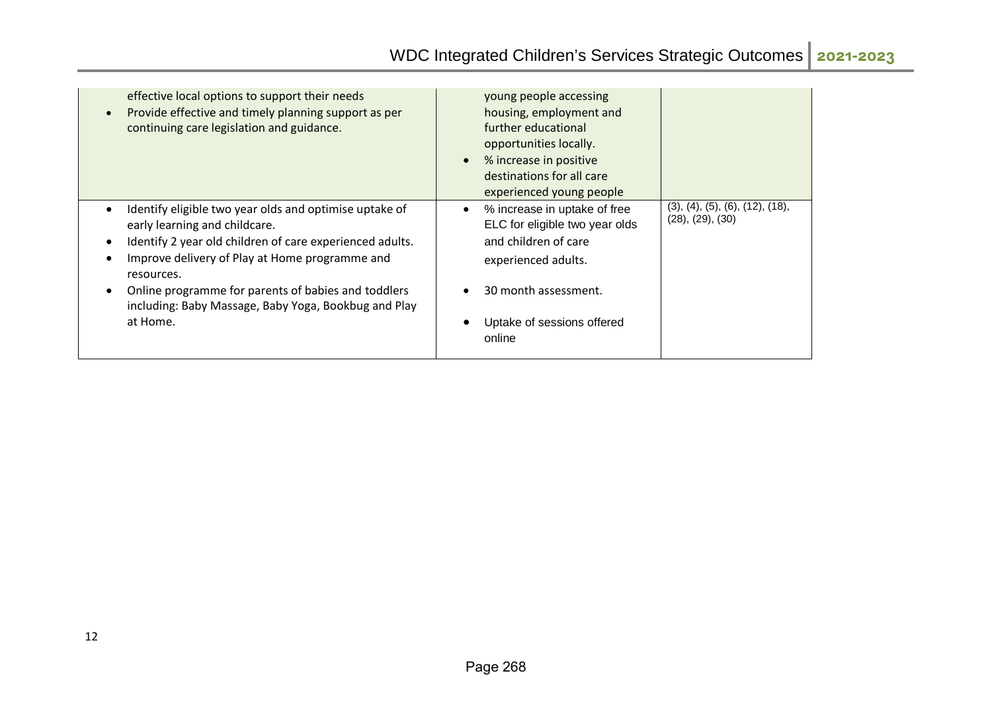| effective local options to support their needs<br>Provide effective and timely planning support as per<br>continuing care legislation and guidance.                                                                                                                                                                                            | young people accessing<br>housing, employment and<br>further educational<br>opportunities locally.<br>% increase in positive<br>destinations for all care<br>experienced young people |                                                     |
|------------------------------------------------------------------------------------------------------------------------------------------------------------------------------------------------------------------------------------------------------------------------------------------------------------------------------------------------|---------------------------------------------------------------------------------------------------------------------------------------------------------------------------------------|-----------------------------------------------------|
| Identify eligible two year olds and optimise uptake of<br>early learning and childcare.<br>Identify 2 year old children of care experienced adults.<br>Improve delivery of Play at Home programme and<br>resources.<br>Online programme for parents of babies and toddlers<br>including: Baby Massage, Baby Yoga, Bookbug and Play<br>at Home. | % increase in uptake of free<br>ELC for eligible two year olds<br>and children of care<br>experienced adults.<br>30 month assessment.<br>Uptake of sessions offered<br>online         | (3), (4), (5), (6), (12), (18),<br>(28), (29), (30) |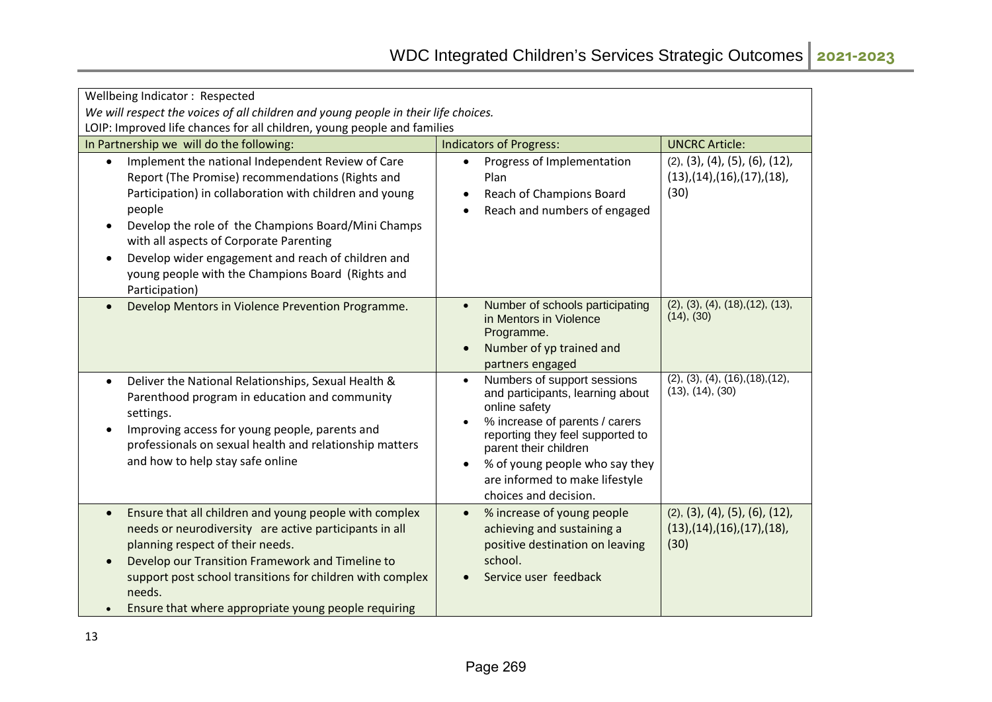| Wellbeing Indicator: Respected                                                                                                                                                                                                                                                                                                                                                                                                      |                                                                                                                                                                                                                                                                                                                     |                                                                                        |  |
|-------------------------------------------------------------------------------------------------------------------------------------------------------------------------------------------------------------------------------------------------------------------------------------------------------------------------------------------------------------------------------------------------------------------------------------|---------------------------------------------------------------------------------------------------------------------------------------------------------------------------------------------------------------------------------------------------------------------------------------------------------------------|----------------------------------------------------------------------------------------|--|
| We will respect the voices of all children and young people in their life choices.                                                                                                                                                                                                                                                                                                                                                  |                                                                                                                                                                                                                                                                                                                     |                                                                                        |  |
| LOIP: Improved life chances for all children, young people and families                                                                                                                                                                                                                                                                                                                                                             |                                                                                                                                                                                                                                                                                                                     |                                                                                        |  |
| In Partnership we will do the following:                                                                                                                                                                                                                                                                                                                                                                                            | <b>Indicators of Progress:</b>                                                                                                                                                                                                                                                                                      | <b>UNCRC Article:</b>                                                                  |  |
| Implement the national Independent Review of Care<br>$\bullet$<br>Report (The Promise) recommendations (Rights and<br>Participation) in collaboration with children and young<br>people<br>Develop the role of the Champions Board/Mini Champs<br>$\bullet$<br>with all aspects of Corporate Parenting<br>Develop wider engagement and reach of children and<br>young people with the Champions Board (Rights and<br>Participation) | Progress of Implementation<br>$\bullet$<br>Plan<br>Reach of Champions Board<br>$\bullet$<br>Reach and numbers of engaged<br>$\bullet$                                                                                                                                                                               | (2), (3), (4), (5), (6), (12),<br>$(13)$ , $(14)$ , $(16)$ , $(17)$ , $(18)$ ,<br>(30) |  |
| Develop Mentors in Violence Prevention Programme.                                                                                                                                                                                                                                                                                                                                                                                   | Number of schools participating<br>in Mentors in Violence<br>Programme.<br>Number of yp trained and<br>$\bullet$<br>partners engaged                                                                                                                                                                                | (2), (3), (4), (18), (12), (13),<br>(14), (30)                                         |  |
| Deliver the National Relationships, Sexual Health &<br>$\bullet$<br>Parenthood program in education and community<br>settings.<br>Improving access for young people, parents and<br>professionals on sexual health and relationship matters<br>and how to help stay safe online                                                                                                                                                     | Numbers of support sessions<br>$\bullet$<br>and participants, learning about<br>online safety<br>% increase of parents / carers<br>$\bullet$<br>reporting they feel supported to<br>parent their children<br>% of young people who say they<br>$\bullet$<br>are informed to make lifestyle<br>choices and decision. | (2), (3), (4), (16), (18), (12),<br>(13), (14), (30)                                   |  |
| Ensure that all children and young people with complex<br>$\bullet$<br>needs or neurodiversity are active participants in all<br>planning respect of their needs.<br>Develop our Transition Framework and Timeline to<br>support post school transitions for children with complex<br>needs.<br>Ensure that where appropriate young people requiring                                                                                | % increase of young people<br>$\bullet$<br>achieving and sustaining a<br>positive destination on leaving<br>school.<br>Service user feedback                                                                                                                                                                        | (2), (3), (4), (5), (6), (12),<br>$(13)$ , $(14)$ , $(16)$ , $(17)$ , $(18)$ ,<br>(30) |  |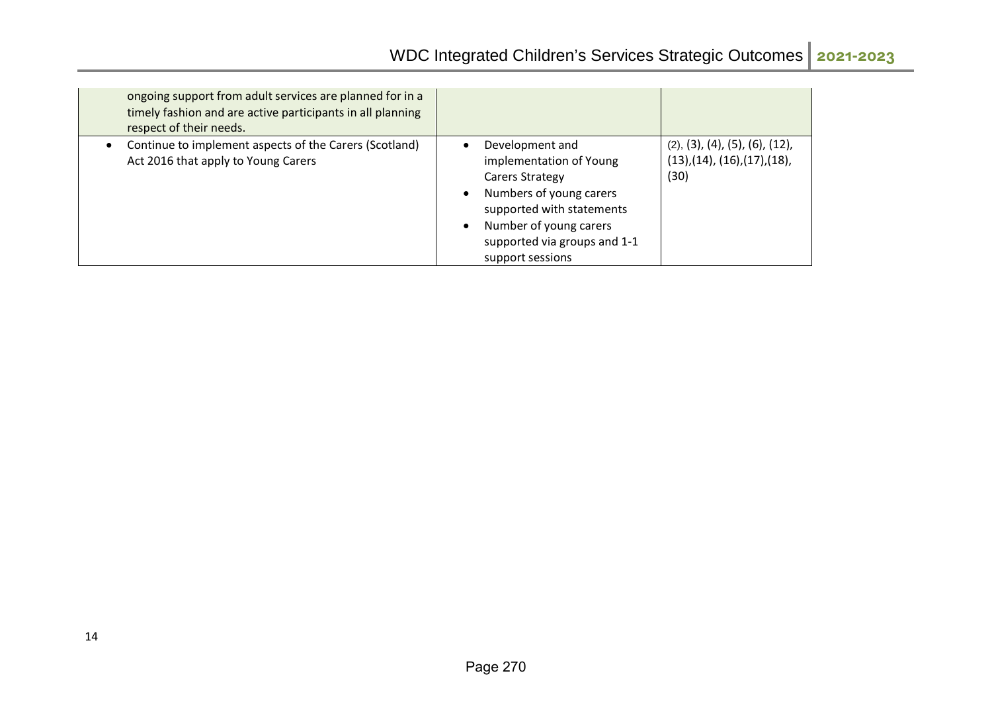| ongoing support from adult services are planned for in a<br>timely fashion and are active participants in all planning<br>respect of their needs. |                                                                                                                                                                                                                                            |                                                                                        |
|---------------------------------------------------------------------------------------------------------------------------------------------------|--------------------------------------------------------------------------------------------------------------------------------------------------------------------------------------------------------------------------------------------|----------------------------------------------------------------------------------------|
| Continue to implement aspects of the Carers (Scotland)<br>Act 2016 that apply to Young Carers                                                     | Development and<br>$\bullet$<br>implementation of Young<br>Carers Strategy<br>Numbers of young carers<br>$\bullet$<br>supported with statements<br>Number of young carers<br>$\bullet$<br>supported via groups and 1-1<br>support sessions | (2), (3), (4), (5), (6), (12),<br>$(13)$ , $(14)$ , $(16)$ , $(17)$ , $(18)$ ,<br>(30) |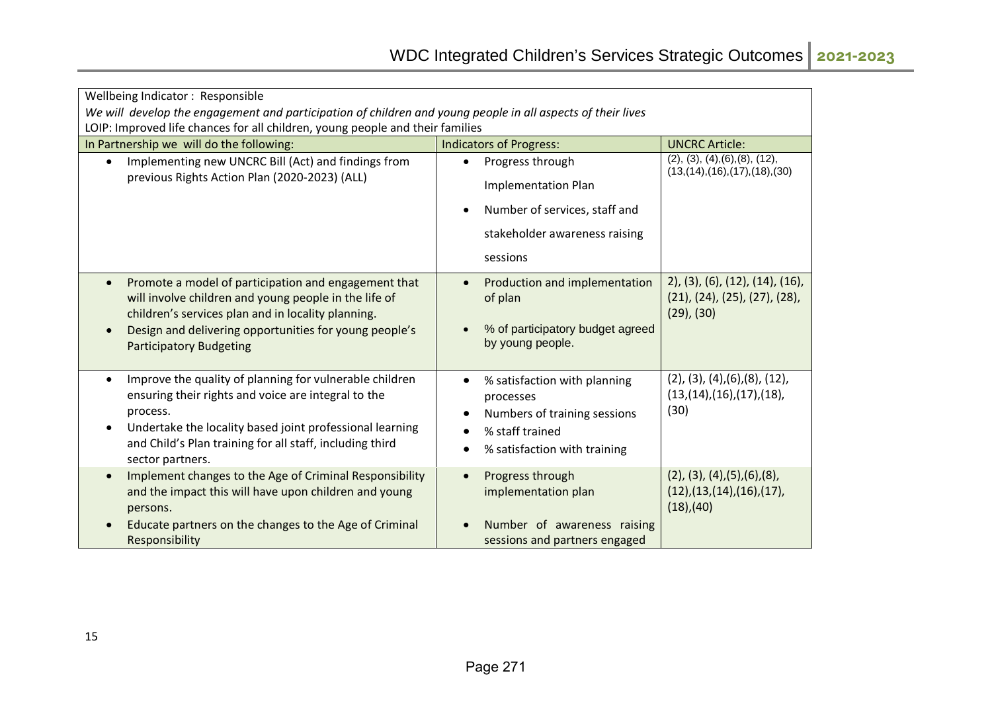| Wellbeing Indicator: Responsible                                                                                                                                                                                                                                                          |                                                                                                                                                                          |                                                                                                |  |  |
|-------------------------------------------------------------------------------------------------------------------------------------------------------------------------------------------------------------------------------------------------------------------------------------------|--------------------------------------------------------------------------------------------------------------------------------------------------------------------------|------------------------------------------------------------------------------------------------|--|--|
| We will develop the engagement and participation of children and young people in all aspects of their lives                                                                                                                                                                               |                                                                                                                                                                          |                                                                                                |  |  |
| LOIP: Improved life chances for all children, young people and their families                                                                                                                                                                                                             |                                                                                                                                                                          |                                                                                                |  |  |
| In Partnership we will do the following:                                                                                                                                                                                                                                                  | <b>Indicators of Progress:</b>                                                                                                                                           | <b>UNCRC Article:</b>                                                                          |  |  |
| Implementing new UNCRC Bill (Act) and findings from<br>$\bullet$                                                                                                                                                                                                                          | Progress through<br>$\bullet$                                                                                                                                            | (2), (3), (4), (6), (8), (12),<br>(13, (14), (16), (17), (18), (30))                           |  |  |
| previous Rights Action Plan (2020-2023) (ALL)                                                                                                                                                                                                                                             | <b>Implementation Plan</b>                                                                                                                                               |                                                                                                |  |  |
|                                                                                                                                                                                                                                                                                           | Number of services, staff and<br>$\bullet$                                                                                                                               |                                                                                                |  |  |
|                                                                                                                                                                                                                                                                                           | stakeholder awareness raising                                                                                                                                            |                                                                                                |  |  |
|                                                                                                                                                                                                                                                                                           | sessions                                                                                                                                                                 |                                                                                                |  |  |
| Promote a model of participation and engagement that<br>$\bullet$<br>will involve children and young people in the life of<br>children's services plan and in locality planning.<br>Design and delivering opportunities for young people's<br>$\bullet$<br><b>Participatory Budgeting</b> | Production and implementation<br>$\bullet$<br>of plan<br>% of participatory budget agreed<br>$\bullet$<br>by young people.                                               | $2$ , (3), (6), (12), (14), (16),<br>(21), (24), (25), (27), (28),<br>$(29)$ , $(30)$          |  |  |
| Improve the quality of planning for vulnerable children<br>$\bullet$<br>ensuring their rights and voice are integral to the<br>process.<br>Undertake the locality based joint professional learning<br>and Child's Plan training for all staff, including third<br>sector partners.       | % satisfaction with planning<br>$\bullet$<br>processes<br>Numbers of training sessions<br>$\bullet$<br>% staff trained<br>$\bullet$<br>% satisfaction with training<br>٠ | $(2)$ , $(3)$ , $(4)$ , $(6)$ , $(8)$ , $(12)$ ,<br>(13,(14),(16),(17),(18),<br>(30)           |  |  |
| Implement changes to the Age of Criminal Responsibility<br>$\bullet$<br>and the impact this will have upon children and young<br>persons.<br>Educate partners on the changes to the Age of Criminal<br>Responsibility                                                                     | Progress through<br>$\bullet$<br>implementation plan<br>Number of awareness raising<br>sessions and partners engaged                                                     | $(2)$ , $(3)$ , $(4)$ , $(5)$ , $(6)$ , $(8)$ ,<br>(12),(13,(14),(16),(17),<br>$(18)$ , $(40)$ |  |  |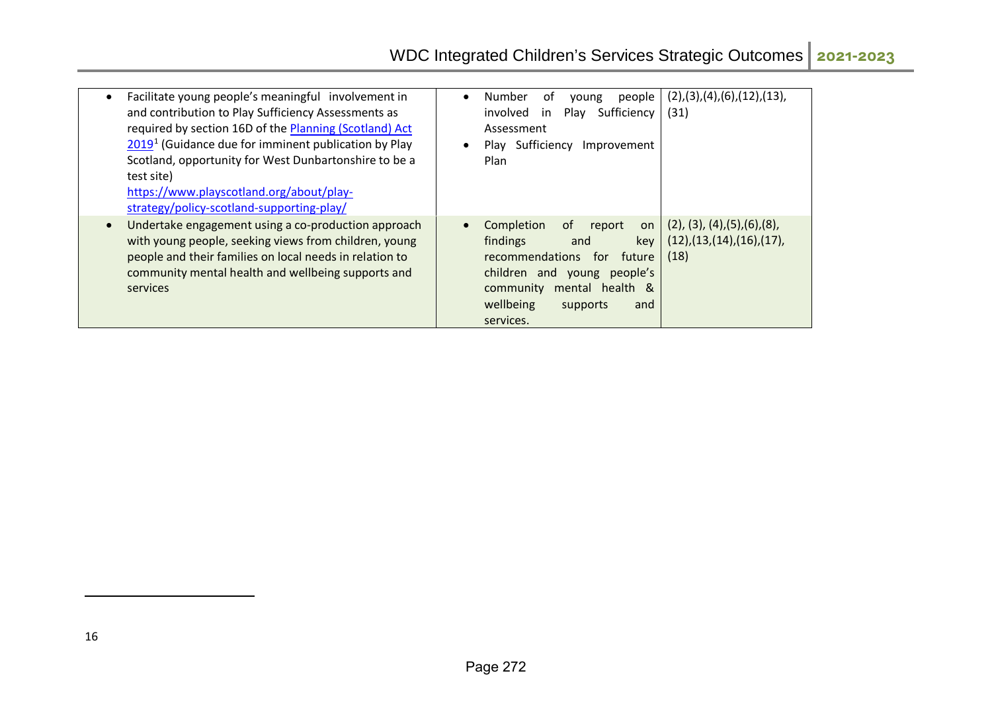<span id="page-21-0"></span>

| Facilitate young people's meaningful involvement in<br>and contribution to Play Sufficiency Assessments as<br>required by section 16D of the Planning (Scotland) Act<br>2019 <sup>1</sup> (Guidance due for imminent publication by Play<br>Scotland, opportunity for West Dunbartonshire to be a<br>test site)<br>https://www.playscotland.org/about/play-<br>strategy/policy-scotland-supporting-play/ | Number<br>. of<br>people<br>$\bullet$<br>young<br>Sufficiency<br>involved<br>Play<br>in<br>Assessment<br>Play Sufficiency<br>Improvement<br>Plan                                                              | (2), (3), (4), (6), (12), (13),<br>(31)                                             |
|----------------------------------------------------------------------------------------------------------------------------------------------------------------------------------------------------------------------------------------------------------------------------------------------------------------------------------------------------------------------------------------------------------|---------------------------------------------------------------------------------------------------------------------------------------------------------------------------------------------------------------|-------------------------------------------------------------------------------------|
| Undertake engagement using a co-production approach<br>with young people, seeking views from children, young<br>people and their families on local needs in relation to<br>community mental health and wellbeing supports and<br>services                                                                                                                                                                | Completion<br>0f<br>report<br>on<br>findings<br>key<br>and<br>recommendations<br>future<br>for<br>children and young<br>people's<br>community<br>mental health &<br>wellbeing<br>supports<br>and<br>services. | $(2)$ , $(3)$ , $(4)$ , $(5)$ , $(6)$ , $(8)$ ,<br>(12),(13,(14),(16),(17),<br>(18) |

.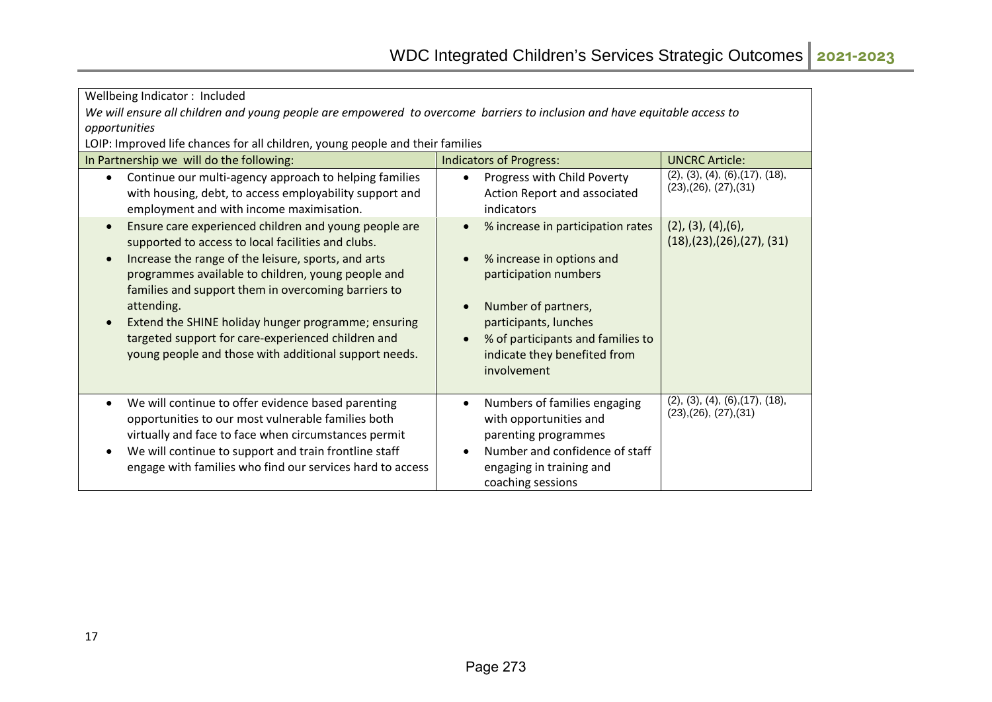| Wellbeing Indicator: Included                                                                                                                                                                                                                                                                                                                                                                                                                                                    |                                                                                                                                                                                                                                                                                 |                                                                               |  |  |
|----------------------------------------------------------------------------------------------------------------------------------------------------------------------------------------------------------------------------------------------------------------------------------------------------------------------------------------------------------------------------------------------------------------------------------------------------------------------------------|---------------------------------------------------------------------------------------------------------------------------------------------------------------------------------------------------------------------------------------------------------------------------------|-------------------------------------------------------------------------------|--|--|
| We will ensure all children and young people are empowered to overcome barriers to inclusion and have equitable access to                                                                                                                                                                                                                                                                                                                                                        |                                                                                                                                                                                                                                                                                 |                                                                               |  |  |
| opportunities                                                                                                                                                                                                                                                                                                                                                                                                                                                                    |                                                                                                                                                                                                                                                                                 |                                                                               |  |  |
| LOIP: Improved life chances for all children, young people and their families                                                                                                                                                                                                                                                                                                                                                                                                    |                                                                                                                                                                                                                                                                                 |                                                                               |  |  |
| In Partnership we will do the following:                                                                                                                                                                                                                                                                                                                                                                                                                                         | <b>UNCRC Article:</b>                                                                                                                                                                                                                                                           |                                                                               |  |  |
| Continue our multi-agency approach to helping families<br>$\bullet$<br>with housing, debt, to access employability support and<br>employment and with income maximisation.                                                                                                                                                                                                                                                                                                       | Progress with Child Poverty<br>$\bullet$<br>Action Report and associated<br>indicators                                                                                                                                                                                          | (2), (3), (4), (6), (17), (18),<br>(23),(26), (27),(31)                       |  |  |
| Ensure care experienced children and young people are<br>$\bullet$<br>supported to access to local facilities and clubs.<br>Increase the range of the leisure, sports, and arts<br>programmes available to children, young people and<br>families and support them in overcoming barriers to<br>attending.<br>Extend the SHINE holiday hunger programme; ensuring<br>targeted support for care-experienced children and<br>young people and those with additional support needs. | % increase in participation rates<br>$\bullet$<br>% increase in options and<br>$\bullet$<br>participation numbers<br>Number of partners,<br>$\bullet$<br>participants, lunches<br>% of participants and families to<br>$\bullet$<br>indicate they benefited from<br>involvement | $(2)$ , $(3)$ , $(4)$ , $(6)$ ,<br>$(18)$ , $(23)$ , $(26)$ , $(27)$ , $(31)$ |  |  |
| We will continue to offer evidence based parenting<br>$\bullet$<br>opportunities to our most vulnerable families both<br>virtually and face to face when circumstances permit<br>We will continue to support and train frontline staff<br>engage with families who find our services hard to access                                                                                                                                                                              | Numbers of families engaging<br>$\bullet$<br>with opportunities and<br>parenting programmes<br>Number and confidence of staff<br>$\bullet$<br>engaging in training and<br>coaching sessions                                                                                     | (2), (3), (4), (6), (17), (18),<br>(23),(26),(27),(31)                        |  |  |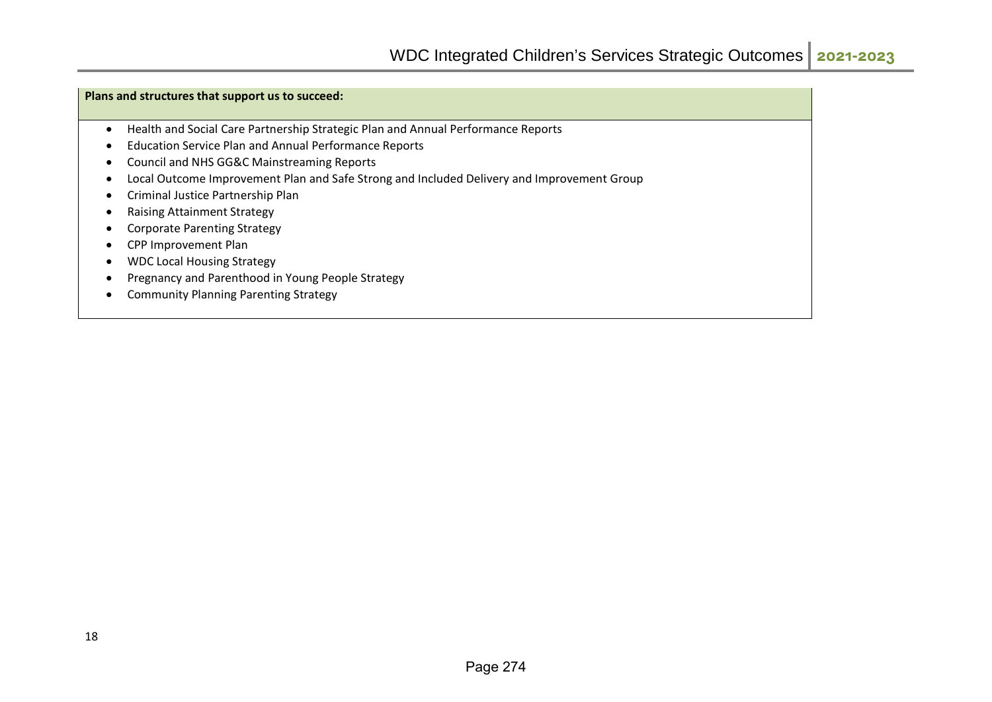#### **Plans and structures that support us to succeed:**

- Health and Social Care Partnership Strategic Plan and Annual Performance Reports
- Education Service Plan and Annual Performance Reports
- Council and NHS GG&C Mainstreaming Reports
- Local Outcome Improvement Plan and Safe Strong and Included Delivery and Improvement Group
- Criminal Justice Partnership Plan
- Raising Attainment Strategy
- Corporate Parenting Strategy
- CPP Improvement Plan
- WDC Local Housing Strategy
- Pregnancy and Parenthood in Young People Strategy
- Community Planning Parenting Strategy